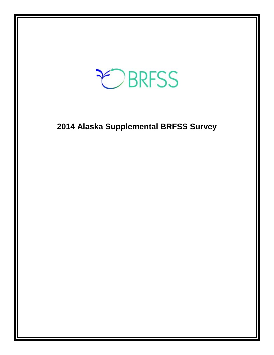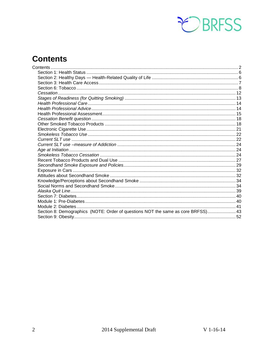

# <span id="page-1-0"></span>**Contents**

| Section 8: Demographics (NOTE: Order of questions NOT the same as core BRFSS) 43 |  |
|----------------------------------------------------------------------------------|--|
|                                                                                  |  |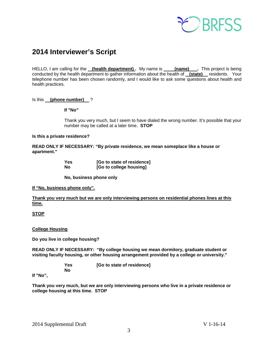

# **2014 Interviewer's Script**

HELLO, I am calling for the **(health department)**. My name is **(name)** . This project is being conducted by the health department to gather information about the health of **(state)** residents. Your telephone number has been chosen randomly, and I would like to ask some questions about health and health practices.

Is this **(phone number)** ?

**If "No"** 

Thank you very much, but I seem to have dialed the wrong number. It's possible that your number may be called at a later time. **STOP**

### **Is this a private residence?**

**READ ONLY IF NECESSARY: "By private residence, we mean someplace like a house or apartment."**

| <b>Yes</b> | [Go to state of residence] |
|------------|----------------------------|
| No         | [Go to college housing]    |

**No, business phone only**

**If "No, business phone only".**

**Thank you very much but we are only interviewing persons on residential phones lines at this time.**

**STOP**

**College Housing**

**Do you live in college housing?** 

**READ ONLY IF NECESSARY: "By college housing we mean dormitory, graduate student or visiting faculty housing, or other housing arrangement provided by a college or university."**

> **Yes [Go to state of residence] No**

**If "No",**

**Thank you very much, but we are only interviewing persons who live in a private residence or college housing at this time. STOP**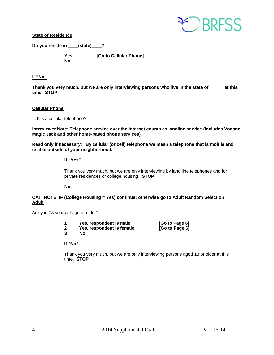

**State of Residence**

**Do you reside in \_\_\_\_(state)\_\_\_\_?** 

**No**

**Yes [Go to Cellular Phone]**

# **If "No"**

**Thank you very much, but we are only interviewing persons who live in the state of \_\_\_\_\_\_at this time**. **STOP**

### **Cellular Phone**

Is this a cellular telephone?

**Interviewer Note: Telephone service over the internet counts as landline service (includes Vonage, Magic Jack and other home-based phone services).**

**Read only if necessary: "By cellular (or cell) telephone we mean a telephone that is mobile and usable outside of your neighborhood."** 

### **If "Yes"**

Thank you very much, but we are only interviewing by land line telephones and for private residences or college housing. **STOP**

### **No**

### **CATI NOTE: IF (College Housing = Yes) continue; otherwise go to Adult Random Selection Adult**

Are you 18 years of age or older?

|  | Yes, respondent is male<br>Yes, respondent is female<br>Nο | [Go to Page 6]<br>[Go to Page 6] |
|--|------------------------------------------------------------|----------------------------------|
|--|------------------------------------------------------------|----------------------------------|

### **If "No",**

Thank you very much, but we are only interviewing persons aged 18 or older at this time. **STOP**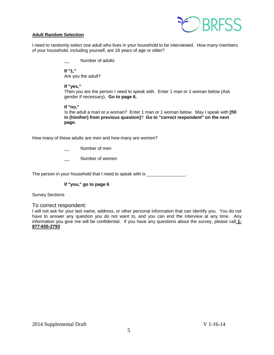

### **Adult Random Selection**

I need to randomly select one adult who lives in your household to be interviewed. How many members of your household, including yourself, are 18 years of age or older?

Number of adults

**If "1,"**  Are you the adult?

### **If "yes,"**

Then you are the person I need to speak with. Enter 1 man or 1 woman below (Ask gender if necessary). **Go to page 6.**

**If "no,"** 

Is the adult a man or a woman? Enter 1 man or 1 woman below. May I speak with **[fill in (him/her) from previous question]**? **Go to "correct respondent" on the next page.**

How many of these adults are men and how many are women?

- Number of men
- Number of women

The person in your household that I need to speak with is \_\_\_\_\_\_\_\_\_\_\_\_\_\_\_.

## **If "you," go to page 6**

Survey Sections

To correct respondent:

I will not ask for your last name, address, or other personal information that can identify you. You do not have to answer any question you do not want to, and you can end the interview at any time. Any information you give me will be confidential. If you have any questions about the survey, please call **1- 877-655-2793**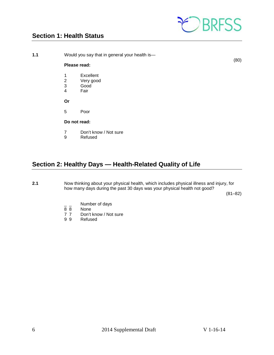

# <span id="page-5-0"></span>**Section 1: Health Status**

**1.1** Would you say that in general your health is—

(80)

## **Please read:**

- 1 Excellent
- 2 Very good
- 3 Good<br>4 Fair
- **Fair**

**Or**

5 Poor

### **Do not read:**

- 7 Don't know / Not sure<br>9 Refused
- **Refused**

# <span id="page-5-1"></span>**Section 2: Healthy Days — Health-Related Quality of Life**

**2.1** Now thinking about your physical health, which includes physical illness and injury, for how many days during the past 30 days was your physical health not good?

(81–82)

- $\frac{1}{8}$   $\frac{1}{8}$  Number of days
- 8 8 None<br>7 7 Don't
- 7 7 Don't know / Not sure<br>9 9 Refused
- **Refused**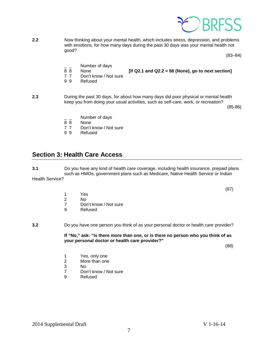

**2.2** Now thinking about your mental health, which includes stress, depression, and problems with emotions, for how many days during the past 30 days was your mental health not good?

(83–84)

- $\frac{1}{8}$   $\frac{1}{8}$  Number of days
- 8 8 None **[If Q2.1 and Q2.2 = 88 (None), go to next section]**
- 7 7 Don't know / Not sure<br>9 9 Refused
- **Refused**

**2.3** During the past 30 days, for about how many days did poor physical or mental health keep you from doing your usual activities, such as self-care, work, or recreation?

(85-86)

- $\frac{1}{8}$   $\frac{1}{8}$  Number of days
- 8 8 None<br>7 7 Don't
- 7 7 Don't know / Not sure<br>9 9 Refused
- **Refused**

# <span id="page-6-0"></span>**Section 3: Health Care Access**

**3.1** Do you have any kind of health care coverage, including health insurance, prepaid plans such as HMOs, government plans such as Medicare, Native Health Service or Indian Health Service?

(87)

- 1 Yes
- 2 No<br>7 Dor
- 7 Don't know / Not sure<br>9 Refused
- **Refused**

### **3.2** Do you have one person you think of as your personal doctor or health care provider?

**If "No," ask: "Is there more than one, or is there no person who you think of as your personal doctor or health care provider?"**

(88)

- 1 Yes, only one<br>2 More than one
- 2 More than one<br>3 No
- 3 No
- Don't know / Not sure
- 9 Refused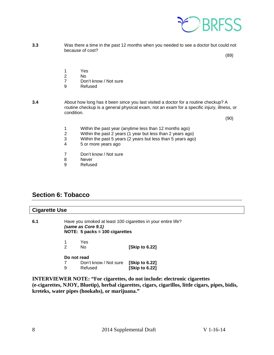

**3.3** Was there a time in the past 12 months when you needed to see a doctor but could not because of cost?

(89)

- 1 Yes
- 
- 2 No Don't know / Not sure
- 9 Refused
- **3.4** About how long has it been since you last visited a doctor for a routine checkup? A routine checkup is a general physical exam, not an exam for a specific injury, illness, or condition.

(90)

- 1 Within the past year (anytime less than 12 months ago)<br>2 Within the past 2 years (1 year but less than 2 years ago
- 2 Within the past 2 years (1 year but less than 2 years ago)<br>3 Within the past 5 years (2 years but less than 5 years ago
- 3 Within the past 5 years (2 years but less than 5 years ago)<br>4 5 or more years ago
- 5 or more years ago
- 7 Don't know / Not sure
- 8 Never
- 9 Refused

# <span id="page-7-0"></span>**Section 6: Tobacco**

| <b>Cigarette Use</b> |                  |                                                                                                                        |                                        |  |
|----------------------|------------------|------------------------------------------------------------------------------------------------------------------------|----------------------------------------|--|
| 6.1                  |                  | Have you smoked at least 100 cigarettes in your entire life?<br>(same as Core 9.1)<br>NOTE: $5$ packs = 100 cigarettes |                                        |  |
|                      | 2                | Yes<br>No.                                                                                                             | [Skip to 6.22]                         |  |
|                      | Do not read<br>9 | Don't know / Not sure<br>Refused                                                                                       | [Skip to 6.22]<br><b>Skip to 6.221</b> |  |

**INTERVIEWER NOTE: "For cigarettes, do not include: electronic cigarettes (e-cigarettes, NJOY, Bluetip), herbal cigarettes, cigars, cigarillos, little cigars, pipes, bidis, kreteks, water pipes (hookahs), or marijuana."**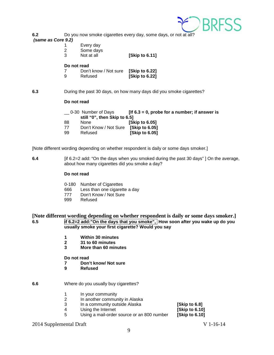

**6.2** Do you now smoke cigarettes every day, some days, or not at all?

### *(same as Core 9.2)*

1 Every day<br>2 Some days 2 Some days<br>3 Not at all

**[Skip to 6.11]** 

### **Do not read**

7 Don't know / Not sure **[Skip to 6.22] [Skip to 6.22]** 

**6.3** During the past 30 days, on how many days did you smoke cigarettes?

### **Do not read**

| 0-30 Number of Days          | [If $6.3 = 0$ , probe for a number; if answer is |
|------------------------------|--------------------------------------------------|
| still "0", then Skip to 6.5] |                                                  |
|                              |                                                  |

- 88 None **[Skip to 6.05]**
- 77 Don't Know / Not Sure **[Skip to 6.05]**  99 Refused **[Skip to 6.05]**
- 

[Note different wording depending on whether respondent is daily or some days smoker.]

**6.4** [if 6.2=2 add: "On the days when you smoked during the past 30 days" ] On the average, about how many cigarettes did you smoke a day?

## **Do not read**

- 0-180 Number of Cigarettes<br>666 Less than one cigarett
- Less than one cigarette a day
- 777 Don't Know / Not Sure<br>999 Refused
- Refused

## **[Note different wording depending on whether respondent is daily or some days smoker.]**<br>6.5 **if 6.2=2 add:**"On the days that you smoke". How soon after you wake up do you **6.5 if 6.2=2 add:"On the days that you smoke", How soon after you wake up do you usually smoke your first cigarette? Would you say**

- **1 Within 30 minutes**
- **2 31 to 60 minutes**
- **3 More than 60 minutes**
- **Do not read**
- **7 Don't know/ Not sure**
- **9 Refused**

## **6.6** Where do you usually buy cigarettes?

- 1 In your community<br>2 In another commun
- 2 In another community in Alaska<br>3 In a community outside Alaska
- 3 In a community outside Alaska **[Skip to 6.8]**
- Using the Internet
- 5 Using a mail-order source or an 800 number **[Skip to 6.10]**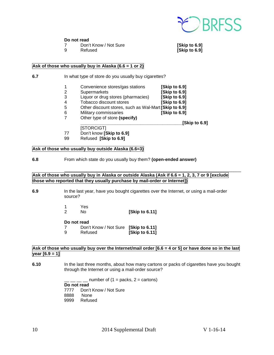

### **Do not read**

- 7 Don't Know / Not Sure **[Skip to 6.9]**
- 

**[Skip to 6.9]** 

### **Ask of those who usually buy in Alaska (6.6 = 1 or 2)**

- **6.7** In what type of store do you usually buy cigarettes?
	- 1 Convenience stores/gas stations **[Skip to 6.9]**
		-
		- 2 Supermarkets **[Skip to 6.9]**
		- 3 Liquor or drug stores (pharmacies) **[Skip to 6.9]**
		- 4 Tobacco discount stores<br>5 Other discount stores. su 5 Other discount stores, such as Wal-Mart **[Skip to 6.9]**
		- 6 Military commissaries **[Skip to 6.9]**
			- 7 Other type of store **(specify)**

**\_\_\_\_\_\_\_\_\_\_\_\_\_\_\_\_\_\_\_\_\_\_\_\_\_\_\_\_\_\_\_\_\_\_\_\_\_\_\_\_\_[Skip to 6.9]**

[STORCIGT]

- 77 Don't know **[Skip to 6.9]**
- 99 Refused **[Skip to 6.9]**

### **Ask of those who usually buy outside Alaska (6.6=3)**

### **6.8** From which state do you usually buy them? **(open-ended answer)**

### Ask of those who usually buy in Alaska or outside Alaska (Ask if 6.6 = 1, 2, 3, 7 or 9 [exclude **those who reported that they usually purchase by mail-order or Internet])**

\_\_\_\_\_\_\_\_\_\_\_\_\_\_\_\_\_\_\_\_\_\_\_\_\_\_\_\_\_\_\_\_\_\_\_\_\_\_\_\_\_\_\_\_\_\_\_\_\_\_\_\_\_\_\_\_\_\_\_\_\_\_\_\_\_\_\_\_\_\_\_

- **6.9** In the last year, have you bought cigarettes over the Internet, or using a mail-order source?
	- 1 Yes 2 No **[Skip to 6.11]**

**Do not read**<br> **7** Don'

- 7 Don't Know / Not Sure **[Skip to 6.11]** 
	- **[Skip to 6.11]**

# Ask of those who usually buy over the Internet/mail order [6.6 = 4 or 5] or have done so in the last **year [6.9 = 1]**

**6.10** In the last three months, about how many cartons or packs of cigarettes have you bought through the Internet or using a mail-order source?

number of  $(1 =$  packs,  $2 =$  cartons)

**Do not read**

7777 Don't Know / Not Sure 8888 None<br>9999 Refuse Refused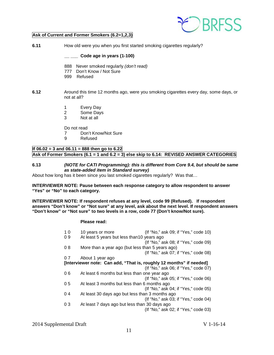

## **Ask of Current and Former Smokers (6.2=1,2,3)**

**6.11** How old were you when you first started smoking cigarettes regularly?

### **\_\_ \_\_\_ Code age in years (1-100)**

- 888 Never smoked regularly *(don't read)*
- 777 Don't Know / Not Sure
- 999 Refused
- **6.12** Around this time 12 months ago, were you smoking cigarettes every day, some days, or not at all?
	- 1 Every Day
	- 2 Some Days
	- 3 Not at all

Do not read

- 7 Don't Know/Not Sure<br>9 Refused
- **Refused**

# **If 06.02 = 3 and 06.11 = 888 then go to 6.22 Ask of Former Smokers (6.1 = 1 and 6.2 = 3) else skip to 6.14: REVISED ANSWER CATEGORIES**

### **6.13** *(NOTE for CATI Programming): this is different from Core 9.4, but should be same as state-added item in Standard survey)*

About how long has it been since you last smoked cigarettes regularly? Was that…

### **INTERVIEWER NOTE: Pause between each response category to allow respondent to answer "Yes" or "No" to each category.**

**INTERVIEWER NOTE: If respondent refuses at any level, code 99 (Refused). If respondent answers "Don't know" or "Not sure" at any level, ask about the next level. If respondent answers "Don't know" or "Not sure" to two levels in a row, code 77 (Don't know/Not sure).**

### **Please read:**

| 10 | 10 years or more                                 | (If "No," ask 09; if "Yes," code 10)                                |
|----|--------------------------------------------------|---------------------------------------------------------------------|
| 09 | At least 5 years but less than 10 years ago      |                                                                     |
|    |                                                  | (If "No," ask 08; if "Yes," code 09)                                |
| 08 | More than a year ago (but less than 5 years ago) |                                                                     |
|    |                                                  | (If "No," ask 07; if "Yes," code 08)                                |
| 07 | About 1 year ago                                 |                                                                     |
|    |                                                  | [Interviewer note: Can add, "That is, roughly 12 months" if needed] |
|    |                                                  | (If "No," ask 06; if "Yes," code 07)                                |
| 06 | At least 6 months but less than one year ago     |                                                                     |
|    |                                                  | (If "No," ask 05; if "Yes," code 06)                                |
| 05 | At least 3 months but less than 6 months ago     |                                                                     |
|    |                                                  | (If "No," ask 04; if "Yes," code 05)                                |
| 04 | At least 30 days ago but less than 3 months ago  |                                                                     |
|    |                                                  | (If "No," ask 03; if "Yes," code 04)                                |
| 03 | At least 7 days ago but less than 30 days ago    |                                                                     |
|    |                                                  | (If "No," ask 02; if "Yes," code 03)                                |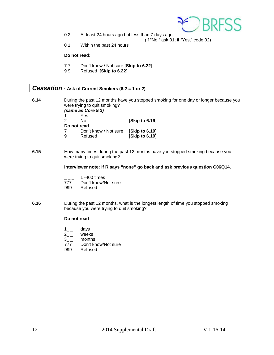

0 2 At least 24 hours ago but less than 7 days ago

(If "No," ask 01; if "Yes," code 02)

0 1 Within the past 24 hours

### **Do not read:**

- 7 7 Don't know / Not sure **[Skip to 6.22]**
- 9 9 Refused **[Skip to 6.22]**

# <span id="page-11-0"></span>*Cessation* **- Ask of Current Smokers (6.2 = 1 or 2)**

| 6.14 |   | were trying to quit smoking? | During the past 12 months have you stopped smoking for one day or longer because you |
|------|---|------------------------------|--------------------------------------------------------------------------------------|
|      |   | (same as Core 9.3)           |                                                                                      |
|      |   | Yes                          |                                                                                      |
|      |   | Nο                           | <b>Skip to 6.191</b>                                                                 |
|      |   | Do not read                  |                                                                                      |
|      |   | Don't know / Not sure        | [Skip to 6.19]                                                                       |
|      | 9 | Refused                      | [Skip to 6.19]                                                                       |
|      |   |                              |                                                                                      |

**6.15** How many times during the past 12 months have you stopped smoking because you were trying to quit smoking?

#### **Interviewer note: If R says "none" go back and ask previous question C06Q14.**

- $\frac{1}{777}$  1 -400 times
- 777 Don't know/Not sure<br>999 Refused
- Refused
- **6.16** During the past 12 months, what is the longest length of time you stopped smoking because you were trying to quit smoking?

- $\begin{bmatrix} 1 & 1 \\ 2 & 1 \end{bmatrix}$  ays
- 
- $2_{--}$  weeks<br> $3_{--}$  months 3\_\_ months<br>777 Don't kr
- 777 Don't know/Not sure<br>999 Refused
- Refused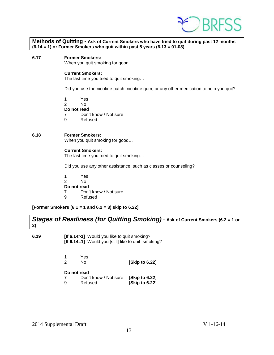

| Methods of Quitting - Ask of Current Smokers who have tried to quit during past 12 months |
|-------------------------------------------------------------------------------------------|
| $(6.14 = 1)$ or Former Smokers who quit within past 5 years $(6.13 = 01-08)$              |

**6.17 Former Smokers:**

When you quit smoking for good…

### **Current Smokers:**

The last time you tried to quit smoking…

Did you use the nicotine patch, nicotine gum, or any other medication to help you quit?

1 Yes

2 No

**Do not read**

7 Don't know / Not sure

9 Refused

### **6.18 Former Smokers:**

When you quit smoking for good…

### **Current Smokers:**

The last time you tried to quit smoking…

Did you use any other assistance, such as classes or counseling?

1 Yes 2 No **Do not read**<br> **7** Don't 7 Don't know / Not sure<br>9 Refused **Refused** 

**[Former Smokers (6.1 = 1 and 6.2 = 3) skip to 6.22]**

<span id="page-12-0"></span>

| Stages of Readiness (for Quitting Smoking) - Ask of Current Smokers (6.2 = 1 or |
|---------------------------------------------------------------------------------|
|                                                                                 |

**6.19 [If 6.14>1]** Would you like to quit smoking? **[If 6.14=1]** Would you [still] like to quit smoking?

| -1 | Yes |                |
|----|-----|----------------|
| -2 | No  | [Skip to 6.22] |
|    |     |                |

|   | Don't know / Not sure | [Skip to 6.22] |
|---|-----------------------|----------------|
| 9 | Refused               | [Skip to 6.22] |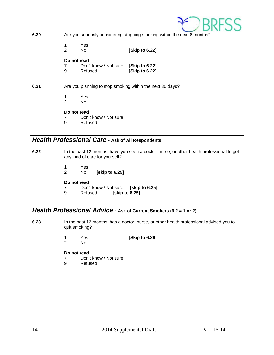

**6.20** Are you seriously considering stopping smoking within the next 6 months?

- 1 Yes
- 2 No **[Skip to 6.22]**

# **Do not read**<br>7 Don'

- 7 Don't know / Not sure **[Skip to 6.22]** 9 Refused **[Skip to 6.22]**
- **6.21** Are you planning to stop smoking within the next 30 days?
	- 1 Yes
	- 2 No

## **Do not read**

- 7 Don't know / Not sure
- 9 Refused

# <span id="page-13-0"></span>*Health Professional Care* **- Ask of All Respondents**

- **6.22** In the past 12 months, have you seen a doctor, nurse, or other health professional to get any kind of care for yourself?
	- 1 Yes
	- 2 No **[skip to 6.25]**

## **Do not read**

- 7 Don't know / Not sure **[skip to 6.25]**
- **[skip to 6.25]**

# <span id="page-13-1"></span>*Health Professional Advice* **- Ask of Current Smokers (6.2 = 1 or 2)**

- **6.23** In the past 12 months, has a doctor, nurse, or other health professional advised you to quit smoking?
	- 1 Yes **[Skip to 6.29]**
	- 2 No

- 7 Don't know / Not sure
- 9 Refused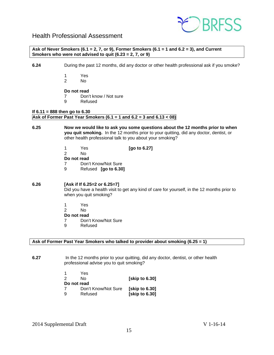

# <span id="page-14-0"></span>Health Professional Assessment

**Ask of Never Smokers (6.1 = 2, 7, or 9), Former Smokers (6.1 = 1 and 6.2 = 3), and Current Smokers who were not advised to quit (6.23 = 2, 7, or 9)**

- **6.24** During the past 12 months, did any doctor or other health professional ask if you smoke?
	- 1 Yes
		- N<sub>o</sub>

### **Do not read**

- 7 Don't know / Not sure
	- **Refused**

### **If 6.11 = 888 then go to 6.30 Ask of Former Past Year Smokers (6.1 = 1 and 6.2 = 3 and 6.13 < 08)**

- **6.25 Now we would like to ask you some questions about the 12 months prior to when you quit smoking.** In the 12 months prior to your quitting, did any doctor, dentist, or other health professional talk to you about your smoking?
	- 1 Yes **[go to 6.27]** N<sub>o</sub> **Do not read** 7 Don't Know/Not Sure
	- 9 Refused **[go to 6.30]**

### **6.26 [Ask if If 6.25=2 or 6.25=7]**

Did you have a health visit to get any kind of care for yourself, in the 12 months prior to when you quit smoking?

- 1 Yes<br>2 No
- N<sub>o</sub>
- **Do not read**
- 7 Don't Know/Not Sure
- 9 Refused

### **Ask of Former Past Year Smokers who talked to provider about smoking (6.25 = 1)**

**6.27** In the 12 months prior to your quitting, did any doctor, dentist, or other health professional advise you to quit smoking?

|             | Yes                 |                      |
|-------------|---------------------|----------------------|
| 2           | N٥                  | <b>Skip to 6.301</b> |
| Do not read |                     |                      |
|             | Don't Know/Not Sure | [skip to 6.30]       |
| 9           | Refused             | [skip to 6.30]       |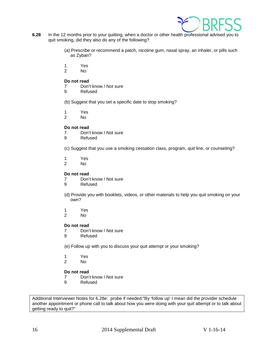

- **6.28** In the 12 months prior to your quitting, when a doctor or other health professional advised you to quit smoking, did they also do any of the following?
	- (a) Prescribe or recommend a patch, nicotine gum, nasal spray, an inhaler, or pills such as Zyban?
	- 1 Yes
	- 2 No

### **Do not read**

- 7 Don't know / Not sure
- 9 Refused
- (b) Suggest that you set a specific date to stop smoking?
- 1 Yes
- 2 No

### **Do not read**

- 7 Don't know / Not sure<br>9 Refused
- **Refused**
- (c) Suggest that you use a smoking cessation class, program, quit line, or counseling?
- 1 Yes<br>2 No
- N<sub>o</sub>

### **Do not read**

- 7 Don't know / Not sure
- 9 Refused
- (d) Provide you with booklets, videos, or other materials to help you quit smoking on your own?
- 1 Yes<br>2 No
- No.

### **Do not read**

- 7 Don't know / Not sure<br>9 Refused
- **Refused**
- (e) Follow up with you to discuss your quit attempt or your smoking?
- 1 Yes
- 2 No

## **Do not read**

- 7 Don't know / Not sure
- 9 Refused

Additional Interviewer Notes for 6.28e: probe if needed:"By 'follow up' I mean did the provider schedule another appointment or phone call to talk about how you were doing with your quit attempt or to talk about getting ready to quit?"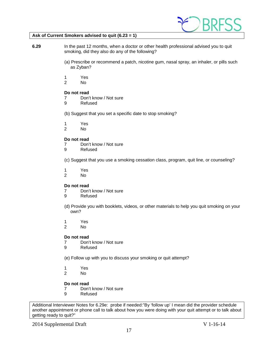

### **Ask of Current Smokers advised to quit (6.23 = 1)**

- **6.29** In the past 12 months, when a doctor or other health professional advised you to quit smoking, did they also do any of the following?
	- (a) Prescribe or recommend a patch, nicotine gum, nasal spray, an inhaler, or pills such as Zyban?
	- 1 Yes<br>2 No
	- No.

### **Do not read**

- 7 Don't know / Not sure
- 9 Refused
- (b) Suggest that you set a specific date to stop smoking?
- 1 Yes
- N<sub>o</sub>

### **Do not read**

- 7 Don't know / Not sure
- 9 Refused

(c) Suggest that you use a smoking cessation class, program, quit line, or counseling?

- 1 Yes
- N<sub>o</sub>

### **Do not read**

- 7 Don't know / Not sure
- 9 Refused
- (d) Provide you with booklets, videos, or other materials to help you quit smoking on your own?
- 1 Yes<br>2 No
- No.

### **Do not read**

- 7 Don't know / Not sure<br>9 Refused
- **Refused**
- (e) Follow up with you to discuss your smoking or quit attempt?
- 1 Yes
- No.

# **Do not read**

- 7 Don't know / Not sure<br>9 Refused
- **Refused**

Additional Interviewer Notes for 6.29e: probe if needed:"By 'follow up' I mean did the provider schedule another appointment or phone call to talk about how you were doing with your quit attempt or to talk about getting ready to quit?"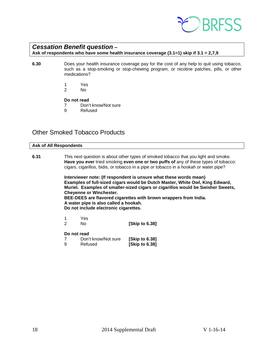

# <span id="page-17-0"></span>*Cessation Benefit question* **–**

**Ask of respondents who have some health insurance coverage (3.1=1) skip if 3.1 = 2,7,9**

- **6.30** Does your health insurance coverage pay for the cost of any help to quit using tobacco, such as a stop-smoking or stop-chewing program, or nicotine patches, pills, or other medications?
	- 1 Yes
	- 2 No

### **Do not read**

- 7 Don't know/Not sure<br>9 Refused
- **Refused**

# <span id="page-17-1"></span>Other Smoked Tobacco Products

### **Ask of All Respondents**

**6.31** This next question is about other types of smoked tobacco that you light and smoke. **Have you ever** tried smoking **even one or two puffs of** any of these types of tobacco: cigars, cigarillos, bidis, or tobacco in a pipe or tobacco in a hookah or water pipe?

> **Interviewer note: (If respondent is unsure what these words mean) Examples of full-sized cigars would be Dutch Master, White Owl, King Edward, Muriel. Examples of smaller-sized cigars or cigarillos would be Swisher Sweets, Cheyenne or Winchester. BEE-DEES are flavored cigarettes with brown wrappers from India.**

**A water pipe is also called a hookah.**

**Do not include electronic cigarettes.**

1 Yes 2 No **[Skip to 6.38]** 

| 7 | Don't know/Not sure | [Skip to 6.38] |
|---|---------------------|----------------|
| 9 | Refused             | [Skip to 6.38] |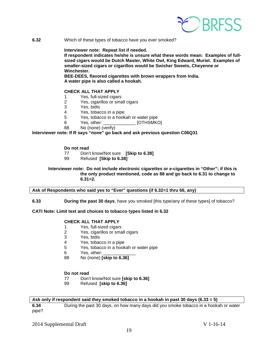

**6.32** Which of these types of tobacco have you ever smoked?

### **Interviewer note: Repeat list if needed.**

**If respondent indicates he/she is unsure what these words mean: Examples of fullsized cigars would be Dutch Master, White Owl, King Edward, Muriel. Examples of smaller-sized cigars or cigarillos would be Swisher Sweets, Cheyenne or Winchester.**

**BEE-DEES, flavored cigarettes with brown wrappers from India. A water pipe is also called a hookah.**

### **CHECK ALL THAT APPLY**

- 1 Yes, full-sized cigars
- 2 Yes, cigarillos or small cigars
- 3 Yes, bidis
- Yes, tobacco in a pipe
- 5 Yes, tobacco in a hookah or water pipe
- 6 Yes, other: [OTHSMKO]
- 88 No (none) (verify)

### **Interviewer note: If R says "none" go back and ask previous question C06Q31**

#### **Do not read**

- 77 Don't know/Not sure **[Skip to 6.38]**
- 99 Refused **[Skip to 6.38]**

### **Interviewer note: Do not include electronic cigarettes or e-cigarettes in "Other"; if this is the only product mentioned, code as 88 and go back to 6.31 to change to 6.31=2.**

### **Ask of Respondents who said yes to "Ever" questions (if 6.32=1 thru 66, any)**

#### **6.33 During the past 30 days**, have you smoked [this type/any of these types] of tobacco?

### **CATI Note: Limit text and choices to tobacco types listed in 6.32**

# **CHECK ALL THAT APPLY**

- 1 Yes, full-sized cigars
- 2 Yes, cigarillos or small cigars<br>3 Yes, bidis
- Yes, bidis
- 4 Yes, tobacco in a pipe
- 5 Yes, tobacco in a hookah or water pipe<br>6 Yes other:
- Yes, other:
- 88 No (none) **[skip to 6.36]**

### **Do not read**

- 77 Don't know/Not sure **[skip to 6.36]**
- 99 Refused **[skip to 6.36]**

#### **Ask only if respondent said they smoked tobacco in a hookah in past 30 days (6.33 = 5)**

**6.34** During the past 30 days, on how many days did you smoke tobacco in a hookah or water pipe?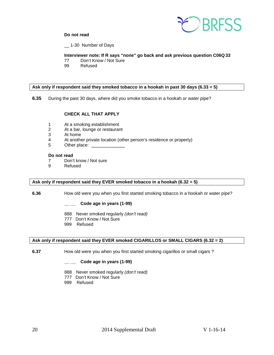

## **Do not read**

\_\_ 1-30 Number of Days

# **Interviewer note: If R says "none" go back and ask previous question C06Q33**

- 77 Don't Know / Not Sure<br>99 Refused
- Refused

### **Ask only if respondent said they smoked tobacco in a hookah in past 30 days (6.33 = 5)**

**6.35** During the past 30 days, where did you smoke tobacco in a hookah or water pipe?

### **CHECK ALL THAT APPLY**

- 1 At a smoking establishment
- 2 At a bar, lounge or restaurant<br>3 At home
- At home
- 4 At another private location (other person's residence or property)
- 5 Other place:

### **Do not read**

- 7 Don't know / Not sure<br>9 Refused
- **Refused**

#### **Ask only if respondent said they EVER smoked tobacco in a hookah (6.32 = 5)**

**6.36** How old were you when you first started smoking tobacco in a hookah or water pipe?

**\_\_ \_\_ Code age in years (1-99)**

- 888 Never smoked regularly *(don't read)*
- 777 Don't Know / Not Sure
- 999 Refused

#### **Ask only if respondent said they EVER smoked CIGARILLOS or SMALL CIGARS (6.32 = 2)**

**6.37** How old were you when you first started smoking cigarillos or small cigars ?

### **\_\_ \_\_ Code age in years (1-99)**

- 888 Never smoked regularly *(don't read)*
- 777 Don't Know / Not Sure
- 999 Refused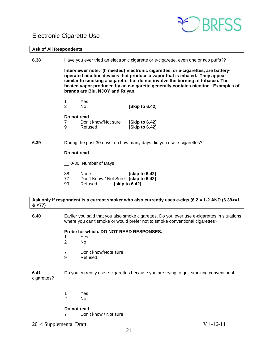# <span id="page-20-0"></span>Electronic Cigarette Use



#### **Ask of All Respondents**

**6.38** Have you ever tried an electronic cigarette or e-cigarette, even one or two puffs??

**Interviewer note: (If needed) Electronic cigarettes, or e-cigarettes, are batteryoperated nicotine devices that produce a vapor that is inhaled. They appear similar to smoking a cigarette, but do not involve the burning of tobacco. The heated vapor produced by an e-cigarette generally contains nicotine. Examples of brands are Blu, NJOY and Ruyan.** 

1 Yes 2 No **[Skip to 6.42]** 

#### **Do not read**

| 7 | Don't know/Not sure | [Skip to 6.42] |
|---|---------------------|----------------|
| 9 | Refused             | [Skip to 6.42] |

### **6.39** During the past 30 days, on how many days did you use e-cigarettes?

### **Do not read**

- \_\_ 0-30 Number of Days
- 88 None **[skip to 6.42]**
- 77 Don't Know / Not Sure **[skip to 6.42]**  99 Refused **[skip to 6.42]**
- **Ask only if respondent is a current smoker who also currently uses e-cigs (6.2 = 1-2 AND (6.39>=1 & <77)**
- **6.40** Earlier you said that you also smoke cigarettes. Do you ever use e-cigarettes in situations where you can't smoke or would prefer not to smoke conventional cigarettes?

### **Probe for which. DO NOT READ RESPONSES.**

- 1 Yes<br>2 No
- No.
- 7 Don't know/Note sure<br>9 Refused
- **Refused**

**6.41** Do you currently use e-cigarettes because you are trying to quit smoking conventional cigarettes?

> 1 Yes<br>2 No No.

**Do not read**

7 Don't know / Not sure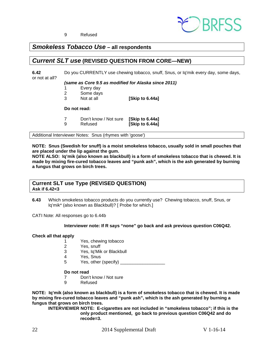

9 Refused

# <span id="page-21-0"></span>*Smokeless Tobacco Use* **– all respondents**

# <span id="page-21-1"></span>*Current SLT use* **(REVISED QUESTION FROM CORE—NEW)**

**6.42** Do you CURRENTLY use chewing tobacco, snuff, Snus, or Iq'mik every day, some days, or not at all?

*(same as Core 9.5 as modified for Alaska since 2011)*

- 1 Every day
- 2 Some days<br>3 Not at all
- **[Skip to 6.44a]**

### **Do not read:**

7 Don't know / Not sure **[Skip to 6.44a] Skip to 6.44al** 

Additional Interviewer Notes: Snus (rhymes with 'goose')

**NOTE: Snus (Swedish for snuff) is a moist smokeless tobacco, usually sold in small pouches that are placed under the lip against the gum.** 

**NOTE ALSO: Iq'mik (also known as blackbull) is a form of smokeless tobacco that is chewed. It is made by mixing fire-cured tobacco leaves and "punk ash", which is the ash generated by burning a fungus that grows on birch trees.**

### **Current SLT use Type (REVISED QUESTION) Ask if 6.42<3**

**6.43** Which smokeless tobacco products do you currently use? Chewing tobacco, snuff, Snus, or Iq'mik\* (also known as Blackbull)? [ Probe for which.]

CATI Note: All responses go to 6.44b

### **Interviewer note: If R says "none" go back and ask previous question C06Q42.**

### **Check all that apply**

- 1 Yes, chewing tobacco<br>2 Yes, snuff
	- Yes, snuff
- 3 Yes, Iq'Mik or Blackbull
- 4 Yes, Snus
- 5 Yes, other (specify) \_\_\_\_\_\_\_\_\_\_\_\_\_\_\_\_\_\_

### **Do not read**

- 7 Don't know / Not sure
- 9 Refused

**NOTE: Iq'mik (also known as blackbull) is a form of smokeless tobacco that is chewed. It is made by mixing fire-cured tobacco leaves and "punk ash", which is the ash generated by burning a fungus that grows on birch trees.**

**INTERVIEWER NOTE: E-cigarettes are not included in "smokeless tobacco"; if this is the only product mentioned, go back to previous question C06Q42 and do recode=3.**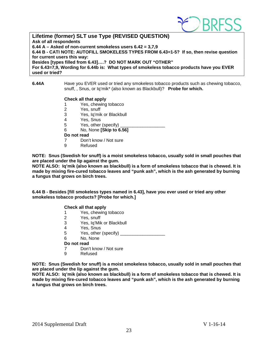

**Lifetime (former) SLT use Type (REVISED QUESTION) Ask of all respondents 6.44 A – Asked of non-current smokeless users 6.42 = 3,7,9 6.44 B - CATI NOTE: AUTOFILL SMOKELESS TYPES FROM 6.43=1-5? If so, then revise question for current users this way: Besides [types filled from 6.43]….? DO NOT MARK OUT "OTHER" For 6.43=7,9, Wording for 6.44b is: What types of smokeless tobacco products have you EVER used or tried?**

### **6.44A** Have you EVER used or tried any smokeless tobacco products such as chewing tobacco, snuff, , Snus, or Iq'mik\* (also known as Blackbull)? **Probe for which.**

### **Check all that apply**

- 1 Yes, chewing tobacco
- 2 Yes, snuff<br>3 Yes, la'mik
- Yes, Iq'mik or Blackbull
- 4 Yes, Snus
- 5 Yes, other (specify)
- 6 No, None **[Skip to 6.56]**

### **Do not read**

- 7 Don't know / Not sure<br>9 Refused
	- **Refused**

**NOTE: Snus (Swedish for snuff) is a moist smokeless tobacco, usually sold in small pouches that are placed under the lip against the gum.** 

**NOTE ALSO: Iq'mik (also known as blackbull) is a form of smokeless tobacco that is chewed. It is made by mixing fire-cured tobacco leaves and "punk ash", which is the ash generated by burning a fungus that grows on birch trees.**

**6.44 B - Besides [fill smokeless types named in 6.43], have you ever used or tried any other smokeless tobacco products? [Probe for which.]**

### **Check all that apply**

- 1 Yes, chewing tobacco<br>2 Yes, snuff
- Yes, snuff
- 3 Yes, Iq'Mik or Blackbull
- 4 Yes, Snus<br>5 Yes, other
- Yes, other (specify)
- 6 No, None
- **Do not read**
- 7 Don't know / Not sure
- 9 Refused

**NOTE: Snus (Swedish for snuff) is a moist smokeless tobacco, usually sold in small pouches that are placed under the lip against the gum.** 

**NOTE ALSO: Iq'mik (also known as blackbull) is a form of smokeless tobacco that is chewed. It is made by mixing fire-cured tobacco leaves and "punk ash", which is the ash generated by burning a fungus that grows on birch trees.**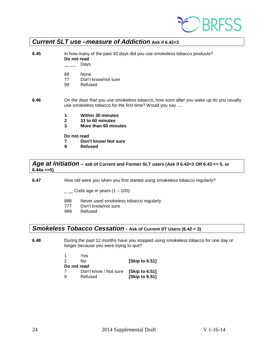

# <span id="page-23-0"></span>*Current SLT use –measure of Addiction* **Ask if 6.42<3**

| 6.45 |                        | In how many of the past 30 days did you use smokeless tobacco products?<br>Do not read<br>Days                                                   |  |  |  |
|------|------------------------|--------------------------------------------------------------------------------------------------------------------------------------------------|--|--|--|
|      | 88<br>77<br>99         | None<br>Don't know/not sure<br>Refused                                                                                                           |  |  |  |
| 6.46 |                        | On the days that you use smokeless tobacco, how soon after you wake up do you usually<br>use smokeless tobacco for the first time? Would you say |  |  |  |
|      | 1<br>$\mathbf{2}$<br>3 | <b>Within 30 minutes</b><br>31 to 60 minutes<br>More than 60 minutes                                                                             |  |  |  |
|      | Do not read<br>9       | Don't know/ Not sure<br><b>Refused</b>                                                                                                           |  |  |  |

<span id="page-23-1"></span>*Age at Initiation* **– ask of Current and Former SLT users (Ask if 6.42<3 OR 6.43 <= 5, or 6.44a <=5)**

**6.47** How old were you when you first started using smokeless tobacco regularly?

 $\_$  Code age in years (1 – 100)

- 888 Never used smokeless tobacco regularly
- 777 Don't know/not sure<br>999 Refused
- Refused

# <span id="page-23-2"></span>*Smokeless Tobacco Cessation* **- Ask of Current ST Users (6.42 < 3)**

**6.48** During the past 12 months have you stopped using smokeless tobacco for one day or longer because you were trying to quit?

| 1           | Yes                   |                       |
|-------------|-----------------------|-----------------------|
| 2           | N٥                    | [Skip to 6.51]        |
| Do not read |                       |                       |
|             | Don't know / Not sure | [Skip to 6.51]        |
| 9           | Refused               | <b>[Skip to 6.51]</b> |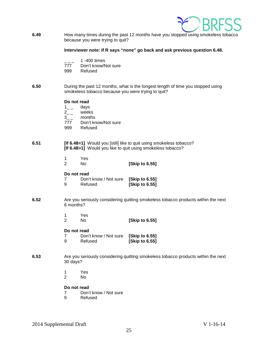

**6.49** How many times during the past 12 months have you stopped using smokeless tobacco because you were trying to quit?

**Interviewer note: If R says "none" go back and ask previous question 6.48.**

- $\frac{1}{777}$  1 -400 times
- Don't know/Not sure
- 999 Refused
- **6.50** During the past 12 months, what is the longest length of time you stopped using smokeless tobacco because you were trying to quit?

# **Do not read**<br>1 days

- 
- $\frac{1}{2}$   $\frac{1}{2}$  $2_{-}$  weeks<br>3 months
- months
- 777 Don't know/Not sure
- 999 Refused

### **6.51 [If 6.48=1]** Would you [still] like to quit using smokeless tobacco? **[If 6.48>1]** Would you like to quit using smokeless tobacco?

1 Yes<br>2 No 2 No **[Skip to 6.55]**

### **Do not read**

| 7  | Don't know / Not sure [Skip to 6.55] |                |
|----|--------------------------------------|----------------|
| -9 | Refused                              | [Skip to 6.55] |

- **6.52** Are you seriously considering quitting smokeless tobacco products within the next 6 months?
	- 1 Yes<br>2 No 2 No **[Skip to 6.55]**

### **Do not read**

- 7 Don't know / Not sure **[Skip to 6.55]** 9 Refused **[Skip to 6.55]**
- **6.53** Are you seriously considering quitting smokeless tobacco products within the next 30 days?
	- 1 Yes<br>2 No
	- N<sub>o</sub>

### **Do not read**

- 7 Don't know / Not sure<br>9 Refused
- **Refused**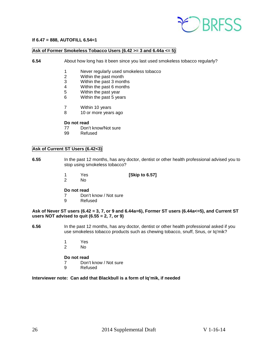

### **If 6.47 = 888, AUTOFILL 6.54=1**

## **Ask of Former Smokeless Tobacco Users (6.42 >= 3 and 6.44a <= 5)**

- **6.54** About how long has it been since you last used smokeless tobacco regularly?
	- 1 Never regularly used smokeless tobacco<br>2 Within the past month
	- Within the past month
	- 3 Within the past 3 months<br>4 Within the past 6 months
	- 4 Within the past 6 months<br>5 Within the past vear
	- Within the past year
	- 6 Within the past 5 years
	- 7 Within 10 years
	- 8 10 or more years ago

### **Do not read**

- 77 Don't know/Not sure<br>99 Refused
- Refused

### **Ask of Current ST Users (6.42<3)**

- **6.55** In the past 12 months, has any doctor, dentist or other health professional advised you to stop using smokeless tobacco?
	- 1 Yes **[Skip to 6.57]**
	- N<sub>o</sub>

### **Do not read**

- 7 Don't know / Not sure<br>9 Refused
- **Refused**

### **Ask of Never ST users (6.42 = 3, 7, or 9 and 6.44a=6), Former ST users (6.44a<=5), and Current ST users NOT advised to quit (6.55 = 2, 7, or 9)**

- **6.56** In the past 12 months, has any doctor, dentist or other health professional asked if you use smokeless tobacco products such as chewing tobacco, snuff, Snus, or Iq'mik?
	- 1 Yes<br>2 No
	- No.

### **Do not read**

- 7 Don't know / Not sure
- 9 Refused

### **Interviewer note: Can add that Blackbull is a form of Iq'mik, if needed**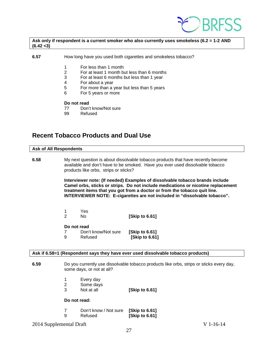

### **Ask only if respondent is a current smoker who also currently uses smokeless (6.2 = 1-2 AND (6.42 <3)**

- **6.57** How long have you used both cigarettes and smokeless tobacco?
	- 1 For less than 1 month
	- 2 For at least 1 month but less than 6 months
	- $3$  For at least 6 months but less than 1 year<br>4 For about a year
	- For about a year
	- 5 For more than a year but less than 5 years
	- 6 For 5 years or more

#### **Do not read**

- 77 Don't know/Not sure<br>99 Refused
- Refused

# <span id="page-26-0"></span>**Recent Tobacco Products and Dual Use**

# **Ask of All Respondents 6.58** My next question is about dissolvable tobacco products that have recently become available and don't have to be smoked. Have you ever used dissolvable tobacco products like orbs, strips or sticks? **Interviewer note: (If needed) Examples of dissolvable tobacco brands include Camel orbs, sticks or strips. Do not include medications or nicotine replacement treatment items that you got from a doctor or from the tobacco quit line. INTERVIEWER NOTE: E-cigarettes are not included in "dissolvable tobacco".** 1 Yes 2 No **[Skip to 6.61] Do not read** 7 Don't know/Not sure **[Skip to 6.61]**  9 Refused **[Skip to 6.61]**

#### **Ask if 6.58=1 (Respondent says they have ever used dissolvable tobacco products)**

- **6.59** Do you currently use dissolvable tobacco products like orbs, strips or sticks every day, some days, or not at all?
	- 1 Every day
	- 2 Some days
	- 3 Not at all **[Skip to 6.61]**

- 7 Don't know / Not sure **[Skip to 6.61]** 
	- 9 Refused **[Skip to 6.61]**
- 2014 Supplemental Draft V 1-16-14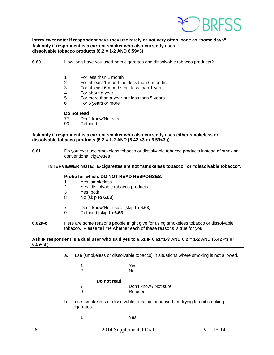

## **Interviewer note: If respondent says they use rarely or not very often, code as "some days". Ask only if respondent is a current smoker who also currently uses dissolvable tobacco products (6.2 = 1-2 AND 6.59<3)**

**6.60.** How long have you used both cigarettes and dissolvable tobacco products?

- 1 For less than 1 month<br>2 For at least 1 month by
- 2 For at least 1 month but less than 6 months
- 3 For at least 6 months but less than 1 year
- 4 For about a year<br>5 For more than a
- 5 For more than a year but less than 5 years
- 6 For 5 years or more

### **Do not read**

- 77 Don't know/Not sure
- 99 Refused

**Ask only if respondent is a current smoker who also currently uses either smokeless or dissolvable tobacco products (6.2 = 1-2 AND (6.42 <3 or 6.59<3 ))**

**6.61** Do you ever use smokeless tobacco or dissolvable tobacco products instead of smoking conventional cigarettes?

### **INTERVIEWER NOTE: E-cigarettes are not "smokeless tobacco" or "dissolvable tobacco".**

### **Probe for which. DO NOT READ RESPONSES.**

- 1 Yes, smokeless
- 2 Yes, dissolvable tobacco products<br>3 Yes both
- 3 Yes, both<br>8 No [skip to
- 8 No [skip **to 6.63]**
- 7 Don't know/Note sure [skip **to 6.63]**
- 9 Refused [skip **to 6.63]**
- **6.62a-c** Here are some reasons people might give for using smokeless tobacco or dissolvable tobacco. Please tell me whether each of these reasons is true for you.

**Ask IF respondent is a dual user who said yes to 6.61 IF 6.61=1-3 AND 6.2 = 1-2 AND (6.42 <3 or 6.59<3 )**

a. I use [smokeless or dissolvable tobacco] in situations where smoking is not allowed.

|   |             | Yes                   |
|---|-------------|-----------------------|
| 2 |             | No                    |
|   | Do not read |                       |
|   |             |                       |
|   |             | Don't know / Not sure |
|   |             | Refused               |

- b. I use [smokeless or dissolvable tobacco] because I am trying to quit smoking cigarettes.
	- 1 Yes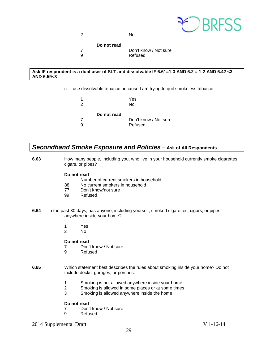

2 No

**Do not read**

7 Don't know / Not sure 9 Refused

### **Ask IF respondent is a dual user of SLT and dissolvable IF 6.61=1-3 AND 6.2 = 1-2 AND 6.42 <3 AND 6.59<3**

c. I use dissolvable tobacco because I am trying to quit smokeless tobacco.

| 1<br>$\mathcal{P}$ |             | Yes<br>No             |
|--------------------|-------------|-----------------------|
|                    | Do not read |                       |
|                    |             | Don't know / Not sure |
| q                  |             | Refused               |

# <span id="page-28-0"></span>*Secondhand Smoke Exposure and Policies* **– Ask of All Respondents**

**6.63** How many people, including you, who live in your household currently smoke cigarettes, cigars, or pipes?

### **Do not read**

- $\frac{1}{2}$  Number of current smokers in household<br>88 No current smokers in household
- No current smokers in household
- 77 Don't know/not sure<br>99 Refused
- Refused
- **6.64** In the past 30 days, has anyone, including yourself, smoked cigarettes, cigars, or pipes anywhere inside your home?
	- 1 Yes
	- 2 No

### **Do not read**

- 7 Don't know / Not sure<br>9 Refused
- **Refused**
- **6.65** Which statement best describes the rules about smoking inside your home? Do not include decks, garages, or porches.
	- 1 Smoking is not allowed anywhere inside your home<br>2 Smoking is allowed in some places or at some times
	- 2 Smoking is allowed in some places or at some times<br>3 Smoking is allowed anywhere inside the home
	- 3 Smoking is allowed anywhere inside the home

### **Do not read**

- 7 Don't know / Not sure<br>9 Refused
- **Refused**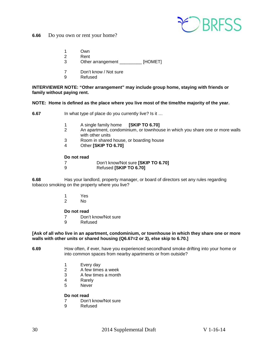

**6.66** Do you own or rent your home?

- 1 Own<br>2 Rent
- **Rent**
- 3 Other arrangement \_\_\_\_\_\_\_\_\_ [HOMET]
- 7 Don't know / Not sure
- 9 Refused

**INTERVIEWER NOTE: "Other arrangement" may include group home, staying with friends or family without paying rent.**

### **NOTE: Home is defined as the place where you live most of the time/the majority of the year.**

**6.67** In what type of place do you currently live? Is it ...

- 
- 1 A single family home **[SKIP TO 6.70]** 2 An apartment, condominium, or townhouse in which you share one or more walls with other units
- 3 Room in shared house, or boarding house<br>4 Other **ISKIP TO 6.701**
- 4 Other **[SKIP TO 6.70]**

### **Do not read**

- 7 Don't know/Not sure **[SKIP TO 6.70]**
- 9 Refused **[SKIP TO 6.70]**

**6.68** Has your landlord, property manager, or board of directors set any rules regarding tobacco smoking on the property where you live?

- 1 Yes<br>2 No
- N<sub>o</sub>

### **Do not read**

- 7 Don't know/Not sure<br>9 Refused
- **Refused**

### **[Ask of all who live in an apartment, condominium, or townhouse in which they share one or more walls with other units or shared housing (Q6.67=2 or 3), else skip to 6.70.]**

- **6.69** How often, if ever, have you experienced secondhand smoke drifting into your home or into common spaces from nearby apartments or from outside?
	- 1 Every day<br>2 A few time
	- 2 A few times a week
	- 3 A few times a month
	- 4 Rarely
	- 5 Never

- 7 Don't know/Not sure<br>9 Refused
- **Refused**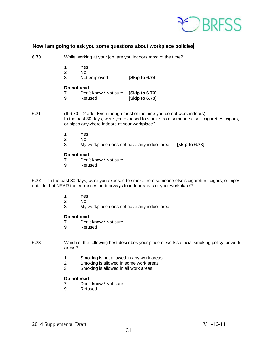

# **Now I am going to ask you some questions about workplace policies**

| 6.70                                                                                                                                                                                                                         | While working at your job, are you indoors most of the time? |                                            |                                  |                |
|------------------------------------------------------------------------------------------------------------------------------------------------------------------------------------------------------------------------------|--------------------------------------------------------------|--------------------------------------------|----------------------------------|----------------|
|                                                                                                                                                                                                                              | $\overline{2}$<br>3                                          | Yes<br>No.<br>Not employed                 | [Skip to 6.74]                   |                |
|                                                                                                                                                                                                                              |                                                              | Do not read                                |                                  |                |
|                                                                                                                                                                                                                              | 7<br>9                                                       | Don't know / Not sure<br>Refused           | [Skip to 6.73]<br>[Skip to 6.73] |                |
| 6.71<br>(If $6.70 = 2$ add: Even though most of the time you do not work indoors),<br>In the past 30 days, were you exposed to smoke from someone else's cigarettes, cigars,<br>or pipes anywhere indoors at your workplace? |                                                              |                                            |                                  |                |
|                                                                                                                                                                                                                              | 1                                                            | Yes                                        |                                  |                |
|                                                                                                                                                                                                                              | $\overline{2}$                                               | No.                                        |                                  |                |
|                                                                                                                                                                                                                              | 3                                                            | My workplace does not have any indoor area |                                  | [skip to 6.73] |
|                                                                                                                                                                                                                              | Do not read                                                  |                                            |                                  |                |
|                                                                                                                                                                                                                              | 7                                                            | Don't know / Not sure                      |                                  |                |
|                                                                                                                                                                                                                              | 9                                                            | Refused                                    |                                  |                |
|                                                                                                                                                                                                                              |                                                              |                                            |                                  |                |

**6.72** In the past 30 days, were you exposed to smoke from someone else's cigarettes, cigars, or pipes outside, but NEAR the entrances or doorways to indoor areas of your workplace?

- 1 Yes
- 2 No
- 3 My workplace does not have any indoor area

# **Do not read**<br>7 Don't

- 7 Don't know / Not sure<br>9 Refused
- **Refused**
- **6.73** Which of the following best describes your place of work's official smoking policy for work areas?
	- 1 Smoking is not allowed in any work areas
	- 2 Smoking is allowed in some work areas
	- 3 Smoking is allowed in all work areas

# **Do not read**<br> **7** Don'

- 7 Don't know / Not sure<br>9 Refused
- **Refused**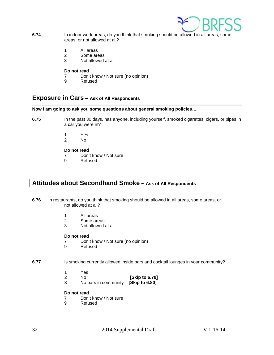

- **6.74** In indoor work areas, do you think that smoking should be allowed in all areas, some areas, or not allowed at all?
	- 1 All areas
	- 2 Some areas
	- 3 Not allowed at all

### **Do not read**

- 7 Don't know / Not sure (no opinion)<br>9 Refused
- **Refused**

# <span id="page-31-0"></span>**Exposure in Cars – Ask of All Respondents**

# **Now I am going to ask you some questions about general smoking policies…**

**6.75** In the past 30 days, has anyone, including yourself, smoked cigarettes, cigars, or pipes in a car you were in?

- 1 Yes
- N<sub>o</sub>

# **Do not read**<br> **7** Don'

- 7 Don't know / Not sure<br>9 Refused
- **Refused**

# <span id="page-31-1"></span>**Attitudes about Secondhand Smoke – Ask of All Respondents**

- **6.76** In restaurants, do you think that smoking should be allowed in all areas, some areas, or not allowed at all?
	- 1 All areas<br>2 Some are
	- Some areas
	- 3 Not allowed at all

### **Do not read**

- 7 Don't know / Not sure (no opinion)<br>9 Refused
- **Refused**

## **6.77** Is smoking currently allowed inside bars and cocktail lounges in your community?

- 1 Yes
- 2 No **[Skip to 6.79]**
- 3 No bars in community **[Skip to 6.80]**

# **Do not read**<br>7 Don't

- 7 Don't know / Not sure<br>9 Refused
- **Refused**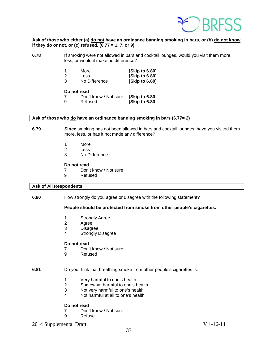

### **Ask of those who either (a) do not have an ordinance banning smoking in bars, or (b) do not know if they do or not, or (c) refused. (6.77 = 1, 7, or 9)**

**6.78 If** smoking were not allowed in bars and cocktail lounges, would you visit them more, less, or would it make no difference?

|    | More          | [Skip to 6.80] |
|----|---------------|----------------|
| -2 | <b>Less</b>   | [Skip to 6.80] |
| -3 | No Difference | [Skip to 6.80] |

### **Do not read**

|    | Don't know / Not sure [Skip to 6.80] |                |
|----|--------------------------------------|----------------|
| -9 | Refused                              | [Skip to 6.80] |

### **Ask of those who do have an ordinance banning smoking in bars (6.77= 2)**

**6.79 Since** smoking has not been allowed in bars and cocktail lounges, have you visited them more, less, or has it not made any difference?

- 1 More
- 2 Less
- 3 No Difference

### **Do not read**

- 7 Don't know / Not sure<br>9 Refused
	- **Refused**

#### **Ask of All Respondents**

**6.80** How strongly do you agree or disagree with the following statement?

## **People should be protected from smoke from other people's cigarettes.**

- 1 Strongly Agree<br>2 Agree
- **Agree**
- 3 Disagree
- 4 Strongly Disagree

#### **Do not read**

- 7 Don't know / Not sure<br>9 Refused
- **Refused**

### **6.81** Do you think that breathing smoke from other people's cigarettes is:

- 1 Very harmful to one's health<br>2 Somewhat harmful to one's h
- Somewhat harmful to one's health
- 3 Not very harmful to one's health
- 4 Not harmful at all to one's health

### **Do not read**

- 7 Don't know / Not sure<br>9 Refuse
- **Refuse**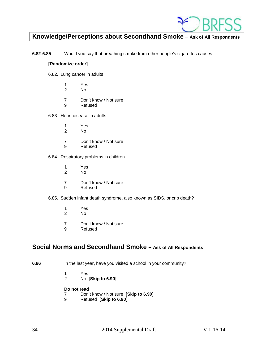

# <span id="page-33-0"></span>**Knowledge/Perceptions about Secondhand Smoke – Ask of All Respondents**

**6.82-6.85** Would you say that breathing smoke from other people's cigarettes causes:

### **[Randomize order]**

- 6.82. Lung cancer in adults
	- 1 Yes
	- 2 No
	- 7 Don't know / Not sure
	- 9 Refused
- 6.83. Heart disease in adults
	- 1 Yes<br>2 No
	- 2 No
	- 7 Don't know / Not sure
	- 9 Refused
- 6.84. Respiratory problems in children
	- 1 Yes<br>2 No
	- 2 No
	- 7 Don't know / Not sure<br>9 Refused
	- **Refused**
- 6.85. Sudden infant death syndrome, also known as SIDS, or crib death?
	- 1 Yes
	- 2 No
	- 7 Don't know / Not sure<br>9 Refused
	- **Refused**

# <span id="page-33-1"></span>**Social Norms and Secondhand Smoke – Ask of All Respondents**

- **6.86** In the last year, have you visited a school in your community?
	- 1 Yes<br>2 No
	- 2 No **[Skip to 6.90]**

- 7 Don't know / Not sure **[Skip to 6.90]**
- 9 Refused **[Skip to 6.90]**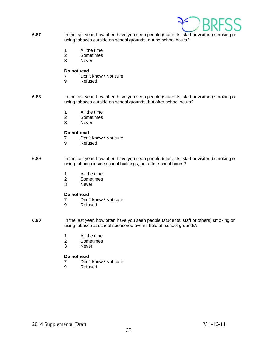

- **6.87** In the last year, how often have you seen people (students, staff or visitors) smoking or using tobacco outside on school grounds, during school hours?
	- 1 All the time
	- 2 Sometimes
	- 3 Never

### **Do not read**

- 7 Don't know / Not sure<br>9 Refused
- **Refused**
- **6.88** In the last year, how often have you seen people (students, staff or visitors) smoking or using tobacco outside on school grounds, but after school hours?
	- 1 All the time
	- 2 Sometimes
	- 3 Never

### **Do not read**

- 7 Don't know / Not sure<br>9 Refused
- **Refused**
- **6.89** In the last year, how often have you seen people (students, staff or visitors) smoking or using tobacco inside school buildings, but after school hours?
	- 1 All the time
	- 2 Sometimes<br>3 Never
	- **Never**

### **Do not read**

- 7 Don't know / Not sure<br>9 Refused
	- **Refused**
- **6.90** In the last year, how often have you seen people (students, staff or others) smoking or using tobacco at school sponsored events held off school grounds?
	- 1 All the time<br>2 Sometimes
	- **Sometimes**
	- 3 Never

# **Do not read**<br> **7** Don'

- 7 Don't know / Not sure<br>9 Refused
- **Refused**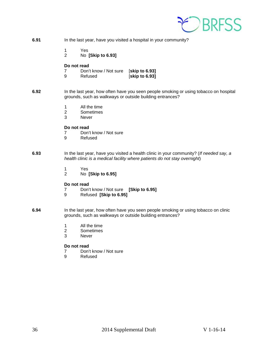

| 6.91 | In the last year, have you visited a hospital in your community?                                                                                                     |  |
|------|----------------------------------------------------------------------------------------------------------------------------------------------------------------------|--|
|      | 1<br>Yes<br>$\overline{2}$<br>No [Skip to 6.93]                                                                                                                      |  |
|      | Do not read<br>Don't know / Not sure<br>[skip to 6.93]<br>7<br>[skip to 6.93]<br>9<br>Refused                                                                        |  |
| 6.92 | In the last year, how often have you seen people smoking or using tobacco on hospital<br>grounds, such as walkways or outside building entrances?                    |  |
|      | All the time<br>1<br>$\overline{2}$<br>Sometimes<br>3<br><b>Never</b>                                                                                                |  |
|      | Do not read<br>Don't know / Not sure<br>7<br>9<br>Refused                                                                                                            |  |
| 6.93 | In the last year, have you visited a health clinic in your community? (If needed say, a<br>health clinic is a medical facility where patients do not stay overnight) |  |
|      | Yes<br>$\mathbf 1$<br>$\overline{2}$<br>No [Skip to 6.95]                                                                                                            |  |
|      | Do not read<br>7<br>Don't know / Not sure [Skip to 6.95]<br>9<br>Refused [Skip to 6.95]                                                                              |  |
| 6.94 | In the last year, how often have you seen people smoking or using tobacco on clinic<br>grounds, such as walkways or outside building entrances?                      |  |
|      | All the time<br>1<br>$\overline{2}$<br>Sometimes<br>3<br><b>Never</b>                                                                                                |  |
|      | Do not read<br>Don't know / Not sure<br>7<br>9<br>Refused                                                                                                            |  |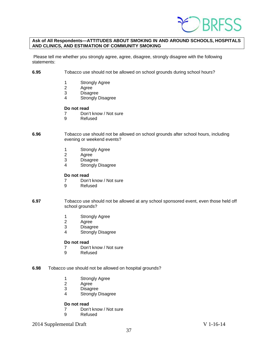

### **Ask of All Respondents—ATTITUDES ABOUT SMOKING IN AND AROUND SCHOOLS, HOSPITALS AND CLINICS, AND ESTIMATION OF COMMUNITY SMOKING**

Please tell me whether you strongly agree, agree, disagree, strongly disagree with the following statements:

- **6.95** Tobacco use should not be allowed on school grounds during school hours?
	- 1 Strongly Agree
	- 2 Agree
	- 3 Disagree
	- 4 Strongly Disagree

# **Do not read**<br>7 Don'

- 7 Don't know / Not sure<br>9 Refused
- **Refused**
- **6.96** Tobacco use should not be allowed on school grounds after school hours, including evening or weekend events?
	- 1 Strongly Agree
	- 2 Agree<br>3 Disagr
	- 3 Disagree<br>4 Strongly I
	- Strongly Disagree

### **Do not read**

- 7 Don't know / Not sure
- 9 Refused
- **6.97** Tobacco use should not be allowed at any school sponsored event, even those held off school grounds?
	- 1 Strongly Agree<br>2 Agree
	- 2 Agree<br>3 Disagr
	- **Disagree**
	- 4 Strongly Disagree

#### **Do not read**

- 7 Don't know / Not sure<br>9 Refused
- **Refused**
- **6.98** Tobacco use should not be allowed on hospital grounds?
	- 1 Strongly Agree<br>2 Agree
	- Agree
	- 3 Disagree
	- 4 Strongly Disagree

# **Do not read**<br> **7** Don'

- 7 Don't know / Not sure<br>9 Refused
- **Refused**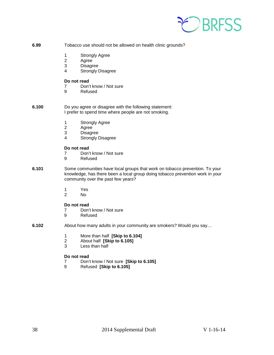

- **6.99** Tobacco use should not be allowed on health clinic grounds?
	- 1 Strongly Agree
	- 2 Agree<br>3 Disagr
	- **Disagree**
	- 4 Strongly Disagree

### **Do not read**

- 7 Don't know / Not sure<br>9 Refused
- **Refused**
- **6.100** Do you agree or disagree with the following statement: I prefer to spend time where people are not smoking.
	- 1 Strongly Agree<br>2 Agree
	- 2 Agree<br>3 Disagr
	- 3 Disagree<br>4 Strongly I
	- Strongly Disagree

# **Do not read**<br>7 Don'

- 7 Don't know / Not sure<br>9 Refused
- **Refused**
- **6.101** Some communities have local groups that work on tobacco prevention. To your knowledge, has there been a local group doing tobacco prevention work in your community over the past few years?
	- 1 Yes<br>2 No
	- No.

### **Do not read**

- 7 Don't know / Not sure
- 9 Refused
- **6.102** About how many adults in your community are smokers? Would you say…
	- 1 More than half **[Skip to 6.104]**
	- 2 About half **[Skip to 6.105]**
	- Less than half

# **Do not read**<br> **7** Don'

- 7 Don't know / Not sure **[Skip to 6.105]**
- 9 Refused **[Skip to 6.105]**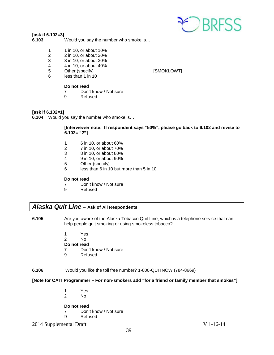

### **[ask if 6.102=3]**

**6.103** Would you say the number who smoke is…

- 1 1 in 10, or about 10%
- 2 2 in 10, or about 20%
- 3 3 in 10, or about 30%<br>4 4 in 10, or about 40%
- 4 4 in 10, or about 40%
- 5 Other (specify) \_\_\_\_\_\_\_\_\_\_\_\_\_\_\_\_\_\_\_\_\_\_\_ [SMOKLOWT]
- 6 less than 1 in 10

# **Do not read**<br> **7** Don'

- 7 Don't know / Not sure<br>9 Refused
- **Refused**

### **[ask if 6.102=1]**

**6.104** Would you say the number who smoke is…

### **[Interviewer note: If respondent says "50%", please go back to 6.102 and revise to 6.102= "2"]**

- 1 6 in 10, or about 60%
- 2 7 in 10, or about 70%
- 3 8 in 10, or about 80%
- 4 9 in 10, or about 90%
- 5 Other (specify)
- 6 less than 6 in 10 but more than 5 in 10

# **Do not read**<br>7 Don'

- 7 Don't know / Not sure<br>9 Refused
- **Refused**

# <span id="page-38-0"></span>*Alaska Quit Line* **– Ask of All Respondents**

- **6.105** Are you aware of the Alaska Tobacco Quit Line, which is a telephone service that can help people quit smoking or using smokeless tobacco?
	- 1 Yes
	- 2 No
	- **Do not read**
	- 7 Don't know / Not sure<br>9 Refused
	- **Refused**

### **6.106** Would you like the toll free number? 1-800-QUITNOW (784-8669)

## **[Note for CATI Programmer – For non-smokers add "for a friend or family member that smokes"]**

- 1 Yes
- No

- 7 Don't know / Not sure<br>9 Refused
- **Refused**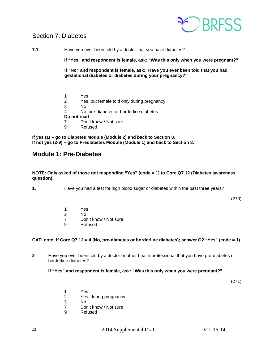# <span id="page-39-0"></span>Section 7: Diabetes



**7.1** Have you ever been told by a doctor that you have diabetes? **If "Yes" and respondent is female, ask: "Was this only when you were pregnant?" If "No" and respondent is female, ask:** "**Have you ever been told that you had gestational diabetes or diabetes during your pregnancy?"** 1 Yes<br>2 Yes, 2 Yes, but female told only during pregnancy 3 No No, pre-diabetes or borderline diabetes **Do not read** 7 Don't know / Not sure 9 Refused

**If yes (1) – go to Diabetes Module (Module 2) and back to Section 8. If not yes (2-9) – go to Prediabetes Module (Module 1) and back to Section 8.**

# <span id="page-39-1"></span>**Module 1: Pre-Diabetes**

**NOTE: Only asked of those not responding "Yes" (code = 1) to Core Q7.12 (Diabetes awareness question).**

**1.** Have you had a test for high blood sugar or diabetes within the past three years?

(270)

1 Yes 2 No 7 Don't know / Not sure<br>9 Refused **Refused** 

## **CATI note: If Core Q7.12 = 4 (No, pre-diabetes or borderline diabetes); answer Q2 "Yes" (code = 1).**

**2** Have you ever been told by a doctor or other health professional that you have pre-diabetes or borderline diabetes?

## **If "Yes" and respondent is female, ask: "Was this only when you were pregnant?"**

(271)

- 
- 1 Yes<br>2 Yes. Yes, during pregnancy
- 3 No
- 7 Don't know / Not sure<br>9 Refused
- **Refused**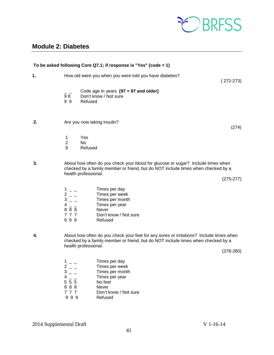

# <span id="page-40-0"></span>**Module 2: Diabetes**

|    |                                                                      | To be asked following Core Q7.1; if response is "Yes" (code = 1)                                                                                                                                    |             |
|----|----------------------------------------------------------------------|-----------------------------------------------------------------------------------------------------------------------------------------------------------------------------------------------------|-------------|
| 1. |                                                                      | How old were you when you were told you have diabetes?                                                                                                                                              | $(272-273)$ |
|    | 98<br>99                                                             | Code age in years $[97 = 97$ and older]<br>Don't know / Not sure<br>Refused                                                                                                                         |             |
| 2. |                                                                      | Are you now taking insulin?                                                                                                                                                                         | (274)       |
|    | 1<br>$\overline{2}$<br>9                                             | Yes<br>No<br>Refused                                                                                                                                                                                |             |
| 3. |                                                                      | About how often do you check your blood for glucose or sugar? Include times when<br>checked by a family member or friend, but do NOT include times when checked by a<br>health professional.        | $(275-277)$ |
|    | $\frac{1}{2} - \frac{1}{2}$<br>$3 - -$<br>$4 -$<br>888<br>777<br>999 | Times per day<br>Times per week<br>Times per month<br>Times per year<br>Never<br>Don't know / Not sure<br>Refused                                                                                   |             |
| 4. |                                                                      | About how often do you check your feet for any sores or irritations? Include times when<br>checked by a family member or friend, but do NOT include times when checked by a<br>health professional. | $(278-280)$ |
|    | 1<br>$\frac{2}{3}$                                                   | Times per day<br>Times per week<br>Times per month                                                                                                                                                  |             |

- 4 \_ \_ Times per year 5 5 5 No feet  $\begin{array}{ccc} 3 & - & \text{Iimes} \\ 4 & - & \text{Times} \\ 5 & 5 & 5 \\ 8 & 8 & 8 \\ 7 & 7 & 7 \end{array}$  No fee 7 7 7 Don't know / Not sure<br>9 9 9 Refused **Refused**
-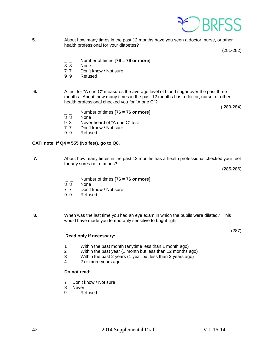

**5.** About how many times in the past 12 months have you seen a doctor, nurse, or other health professional for your diabetes?

(281-282)

- \_ \_ Number of times **[76 = 76 or more]**
- None
- 7 7 Don't know / Not sure
- 9 9 Refused
- **6.** A test for "A one C" measures the average level of blood sugar over the past three months. About how many times in the past 12 months has a doctor, nurse, or other health professional checked you for "A one C"?

( 283-284)

- \_ \_ Number of times **[76 = 76 or more]**
- 8 8 None
- 9 8 Never heard of "A one C" test<br>7 7 Don't know / Not sure
- 7 7 Don't know / Not sure<br>9 9 Refused
- **Refused**

### **CATI note: If Q4 = 555 (No feet), go to Q8.**

**7.** About how many times in the past 12 months has a health professional checked your feet for any sores or irritations?

(285-286)

(287)

- \_ \_ Number of times **[76 = 76 or more]**
- 8 8 None<br>7 7 Don't
- 7 7 Don't know / Not sure<br>9 9 Refused
- **Refused**
- **8.** When was the last time you had an eye exam in which the pupils were dilated? This would have made you temporarily sensitive to bright light.

#### **Read only if necessary:**

- 1 Within the past month (anytime less than 1 month ago)<br>2 Within the past year (1 month but less than 12 months
- Within the past year (1 month but less than 12 months ago)
- 3 Within the past 2 years (1 year but less than 2 years ago)
- 4 2 or more years ago

- 7 Don't know / Not sure
- 8 Never<br>9 Re
- **Refused**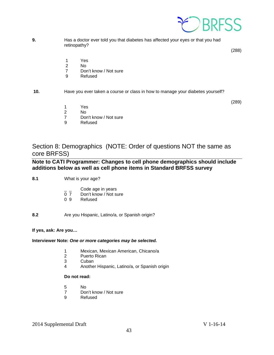

**9.** Has a doctor ever told you that diabetes has affected your eyes or that you had retinopathy?

(288)

- 1 Yes<br>2 No
- $No$
- 7 Don't know / Not sure
- 9 Refused
- **10.** Have you ever taken a course or class in how to manage your diabetes yourself?

(289)

- 1 Yes<br>2 No
- N<sub>o</sub>
- 7 Don't know / Not sure
- 9 Refused

<span id="page-42-0"></span>Section 8: Demographics (NOTE: Order of questions NOT the same as core BRFSS)

**Note to CATI Programmer: Changes to cell phone demographics should include additions below as well as cell phone items in Standard BRFSS survey**

- **8.1** What is your age?
	- Code age in years
	- 0 7 Don't know / Not sure<br>0 9 Refused
	- **Refused**

**8.2** Are you Hispanic, Latino/a, or Spanish origin?

**If yes, ask: Are you…**

### **Interviewer Note:** *One or more categories may be selected.*

- 1 Mexican, Mexican American, Chicano/a
- Puerto Rican
- 3 Cuban<br>4 Anothe
- 4 Another Hispanic, Latino/a, or Spanish origin

- 5 No
- 7 Don't know / Not sure<br>9 Refused
- **Refused**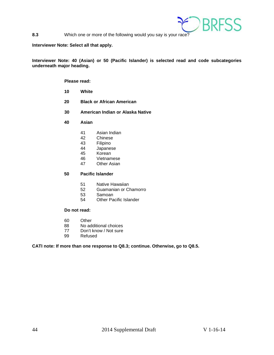

**8.3** Which one or more of the following would you say is your race?

### **Interviewer Note: Select all that apply.**

**Interviewer Note: 40 (Asian) or 50 (Pacific Islander) is selected read and code subcategories underneath major heading.**

### **Please read:**

- **10 White**
- **20 Black or African American**
- **30 American Indian or Alaska Native**
- **40 Asian**
	- 41 Asian Indian<br>42 Chinese
	- 42 Chinese<br>43 Filipino
	- 43 Filipino<br>44 Japanes
	- 44 Japanese<br>45 Korean
	- 45 Korean<br>46 Vietnam
	- 46 Vietnamese<br>47 Other Asian
	- **Other Asian**

### **50 Pacific Islander**

- 51 Native Hawaiian<br>52 Guamanian or C
- 52 Guamanian or Chamorro<br>53 Samoan
- 53 Samoan<br>54 Other Pa
- **Other Pacific Islander**

# **Do not read:**

- 60 Other
- 88 No additional choices
- 77 Don't know / Not sure<br>99 Refused
- Refused

### **CATI note: If more than one response to Q8.3; continue. Otherwise, go to Q8.5.**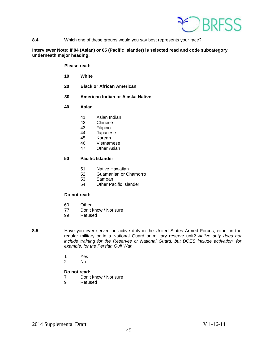

**8.4** Which one of these groups would you say best represents your race?

### **Interviewer Note: If 04 (Asian) or 05 (Pacific Islander) is selected read and code subcategory underneath major heading.**

**Please read:**

- **10 White**
- **20 Black or African American**
- **30 American Indian or Alaska Native**
- **40 Asian**
	- 41 Asian Indian
	- 42 Chinese<br>43 Filipino
	- 43 Filipino<br>44 Japanes
	- 44 Japanese<br>45 Korean
	- 45 Korean<br>46 Vietnam
	- 46 Vietnamese<br>47 Other Asian
	- **Other Asian**

### **50 Pacific Islander**

- 51 Native Hawaiian
- 52 Guamanian or Chamorro
- 53 Samoan<br>54 Other Pa
- Other Pacific Islander

# **Do not read:**

- 60 Other<br>77 Don't l
- 77 Don't know / Not sure<br>99 Refused
- Refused
- 

**8.5** Have you ever served on active duty in the United States Armed Forces, either in the regular military or in a National Guard or military reserve unit? *Active duty does not include training for the Reserves or National Guard, but DOES include activation, for example, for the Persian Gulf War.*

- 1 Yes
- 2 No

- 7 Don't know / Not sure
- 9 Refused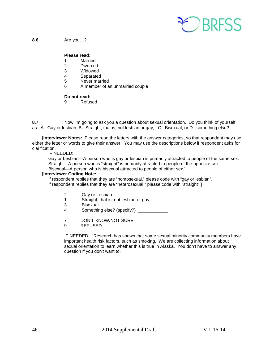

**8.6** Are you…?

### **Please read:**

- 1 Married<br>2 Divorced
- Divorced
- 3 Widowed
- 4 Separated<br>5 Never mari
- Never married
- 6 A member of an unmarried couple

### **Do not read:**

9 Refused

**8.7** Now I'm going to ask you a question about sexual orientation. Do you think of yourself as: A. Gay or lesbian, B. Straight, that is, not lesbian or gay, C. Bisexual, or D. something else?

 [**Interviewer Notes:** Please read the letters with the answer categories, so that respondent may use either the letter or words to give their answer. You may use the descriptions below if respondent asks for clarification.

IF NEEDED:

Gay or Lesbian—A person who is gay or lesbian is primarily attracted to people of the same sex. Straight—A person who is "straight" is primarily attracted to people of the opposite sex. Bisexual—A person who is bisexual attracted to people of either sex.]

# [**Interviewer Coding Note:**

If respondent replies that they are "homosexual," please code with "gay or lesbian".

If respondent replies that they are "heterosexual," please code with "straight".]

- 2 Gay or Lesbian<br>1 Straight, that is,
- 1 Straight, that is, not lesbian or gay<br>3 Bisexual
- **Bisexual**
- 4 Something else? (specify?)
- 7 DON'T KNOW/NOT SURE
- 9 REFUSED

IF NEEDED: "Research has shown that some sexual minority community members have important health risk factors, such as smoking. We are collecting information about sexual orientation to learn whether this is true in Alaska. You don't have to answer any question if you don't want to."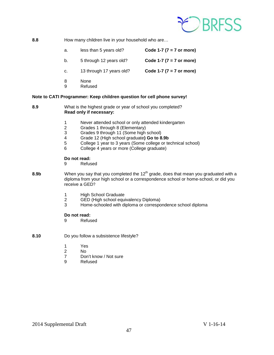

### **8.8** How many children live in your household who are...

- a. less than 5 years old? **Code 1-7 (7 = 7 or more)**
- b. 5 through 12 years old? **Code 1-7 (7 = 7 or more)**
- c. 13 through 17 years old? **Code 1-7 (7 = 7 or more)**
- 8 None
- 9 Refused

### **Note to CATI Programmer: Keep children question for cell phone survey!**

- **8.9** What is the highest grade or year of school you completed? **Read only if necessary:**
	- 1 Never attended school or only attended kindergarten<br>2 Grades 1 through 8 (Elementary)
	- 2 Grades 1 through 8 (Elementary)<br>3 Grades 9 through 11 (Some high
	- 3 Grades 9 through 11 (Some high school)<br>4 Grade 12 (High school graduate) Go to 8
	- 4 Grade 12 (High school graduate**) Go to 8.9b**
	- 5 College 1 year to 3 years (Some college or technical school)
	- 6 College 4 years or more (College graduate)

### **Do not read:**

- 9 Refused
- 8.9b **When you say that you completed the 12<sup>th</sup> grade, does that mean you graduated with a** diploma from your high school or a correspondence school or home-school, or did you receive a GED?
	- 1 High School Graduate
	- 2 GED (High school equivalency Diploma)
	- Home-schooled with diploma or correspondence school diploma

- 9 Refused
- **8.10** Do you follow a subsistence lifestyle?
	- 1 Yes<br>2 No
	- $No$
	- 7 Don't know / Not sure
	- 9 Refused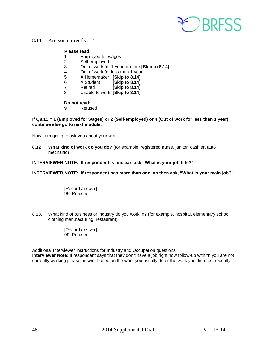

# **8.11** Are you currently…?

### **Please read:**

- 1 Employed for wages<br>2 Self-employed
- 2 Self-employed<br>3 Out of work for
- 3 Out of work for 1 year or more **[Skip to 8.14]**
- Out of work for less than 1 year
- 5 A Homemaker **[Skip to 8.14]**
- **[Skip to 8.14]**
- 7 Retired **[Skip to 8.14]**
- 8 Unable to work **[Skip to 8.14]**

# **Do not read:**<br><sup>Q</sup> Refus

**Refused** 

### **If Q8.11 = 1 (Employed for wages) or 2 (Self-employed) or 4 (Out of work for less than 1 year), continue else go to next module.**

Now I am going to ask you about your work.

**8.12 What kind of work do you do?** (for example, registered nurse, janitor, cashier, auto mechanic)

**INTERVIEWER NOTE: If respondent is unclear, ask "What is your job title?"**

**INTERVIEWER NOTE: If respondent has more than one job then ask, "What is your main job?"**

| [Record answer] |  |
|-----------------|--|
| 99 Refused      |  |

8.13. What kind of business or industry do you work in? (for example, hospital, elementary school, clothing manufacturing, restaurant)

| [Record answer] |  |  |
|-----------------|--|--|
| 99 Refused      |  |  |

Additional Interviewer Instructions for Industry and Occupation questions:

**Interviewer Note:** If respondent says that they don't have a job right now follow-up with "If you are not currently working please answer based on the work you usually do or the work you did most recently."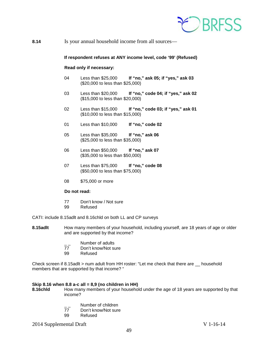

**8.14** Is your annual household income from all sources—

### **If respondent refuses at ANY income level, code '99' (Refused)**

### **Read only if necessary:**

- 04 Less than \$25,000 **If "no," ask 05; if "yes," ask 03** (\$20,000 to less than \$25,000)
- 03 Less than \$20,000 **If "no," code 04; if "yes," ask 02** (\$15,000 to less than \$20,000)
- 02 Less than \$15,000 **If "no," code 03; if "yes," ask 01** (\$10,000 to less than \$15,000)
- 01 Less than \$10,000 **If "no," code 02**
- 05 Less than \$35,000 **If "no," ask 06** (\$25,000 to less than \$35,000)
- 06 Less than \$50,000 **If "no," ask 07** (\$35,000 to less than \$50,000)
- 07 Less than \$75,000 **If "no," code 08** (\$50,000 to less than \$75,000)
- 08 \$75,000 or more

### **Do not read:**

- 77 Don't know / Not sure
- 99 Refused

CATI: include 8.15adlt and 8.16chld on both LL and CP surveys

- **8.15adlt** How many members of your household, including yourself, are 18 years of age or older and are supported by that income?
	- $\frac{1}{77}$  Number of adults<br>77 Don't know/Not su
	- Don't know/Not sure
	- 99 Refused

Check screen if 8.15adlt > num adult from HH roster: "Let me check that there are \_\_ household members that are supported by that income? "

# **Skip 8.16 when 8.8 a-c all = 8,9 (no children in HH)**

**8.16chld** How many members of your household under the age of 18 years are supported by that income?

- $\frac{1}{2}$  Number of children<br>77 Don't know/Not sure
- 77 Don't know/Not sure<br>99 Refused
- Refused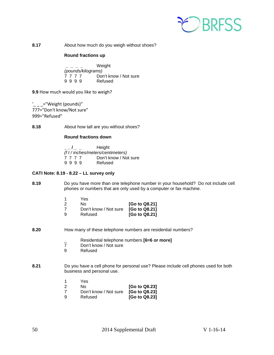

**8.17** About how much do you weigh without shoes?

### **Round fractions up**

**\_ \_ \_ \_** Weight *(pounds/kilograms)* 2 7 7 7 7 Don't know / Not sure<br>9 9 9 9 Refused 9 9 9 9

**9.9** How much would you like to weigh?

 $' = "Weight (pounds)"$ 777="Don't know/Not sure" 999="Refused"

**8.18** About how tall are you without shoes?

## **Round fractions down**

**\_ \_ / \_ \_** Height *(f t / inches/meters/centimeters)* 7 7 7 7 Don't know / Not sure<br>9 9 9 9 Refused 9 9 9 9

## **CATI Note: 8.19 - 8.22 – LL survey only**

**8.19** Do you have more than one telephone number in your household? Do not include cell phones or numbers that are only used by a computer or fax machine.

|   | Yes.                  |               |
|---|-----------------------|---------------|
| 2 | N٥                    | [Go to Q8.21] |
| 7 | Don't know / Not sure | [Go to Q8.21] |
| 9 | Refused               | [Go to Q8.21] |

- **8.20** How many of these telephone numbers are residential numbers?
	- \_ Residential telephone numbers **[6=6 or more]**
	- 7 Don't know / Not sure<br>9 Refused
	- **Refused**
- **8.21** Do you have a cell phone for personal use? Please include cell phones used for both business and personal use.
	- 1 Yes

| 2 | No.                   | [Go to Q8.23] |
|---|-----------------------|---------------|
| 7 | Don't know / Not sure | [Go to Q8.23] |
| 9 | Refused               | [Go to Q8.23] |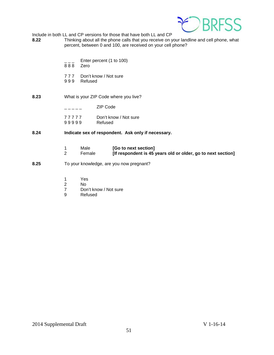

Include in both LL and CP versions for those that have both LL and CP<br>8.22 Thinking about all the phone calls that you receive on y

- **8.22** Thinking about all the phone calls that you receive on your landline and cell phone, what percent, between 0 and 100, are received on your cell phone?
	- Enter percent (1 to 100)<br>Zero
	- 888
	- 777 Don't know / Not sure<br>999 Refused
	- **Refused**
- **8.23** What is your ZIP Code where you live?
	- $---$  ZIP Code
	- 7 7 7 7 7 Don't know / Not sure 9 9 9 9 9 Refused
- **8.24 Indicate sex of respondent. Ask only if necessary.**
	- 1 Male **[Go to next section]**<br>2 Female **[If respondent is 45** [If respondent is 45 years old or older, go to next section]
- **8.25** To your knowledge, are you now pregnant?
	- 1 Yes
	- 2 No
	- 7 Don't know / Not sure<br>9 Refused
	- **Refused**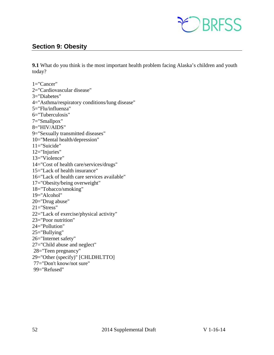

# <span id="page-51-0"></span>**Section 9: Obesity**

**9.1** What do you think is the most important health problem facing Alaska's children and youth today?

1="Cancer" 2="Cardiovascular disease" 3="Diabetes" 4="Asthma/respiratory conditions/lung disease" 5="Flu/influenza" 6="Tuberculosis" 7="Smallpox" 8="HIV/AIDS" 9="Sexually transmitted diseases" 10="Mental health/depression" 11="Suicide" 12="Injuries" 13="Violence" 14="Cost of health care/services/drugs" 15="Lack of health insurance" 16="Lack of health care services available" 17="Obesity/being overweight" 18="Tobacco/smoking" 19="Alcohol" 20="Drug abuse"  $21 = "Stress"$ 22="Lack of exercise/physical activity" 23="Poor nutrition" 24="Pollution" 25="Bullying" 26="Internet safety" 27="Child abuse and neglect" 28="Teen pregnancy" 29="Other (specify)" [CHLDHLTTO] 77="Don't know/not sure" 99="Refused"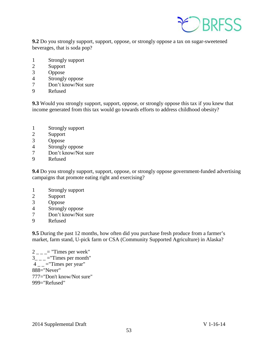

**9.2** Do you strongly support, support, oppose, or strongly oppose a tax on sugar-sweetened beverages, that is soda pop?

- 1 Strongly support
- 2 Support
- 3 Oppose
- 4 Strongly oppose
- 7 Don't know/Not sure
- 9 Refused

**9.3** Would you strongly support, support, oppose, or strongly oppose this tax if you knew that income generated from this tax would go towards efforts to address childhood obesity?

- 1 Strongly support
- 2 Support
- 3 Oppose
- 4 Strongly oppose
- 7 Don't know/Not sure
- 9 Refused

**9.4** Do you strongly support, support, oppose, or strongly oppose government-funded advertising campaigns that promote eating right and exercising?

- 1 Strongly support
- 2 Support
- 3 Oppose
- 4 Strongly oppose
- 7 Don't know/Not sure
- 9 Refused

**9.5** During the past 12 months, how often did you purchase fresh produce from a farmer's market, farm stand, U-pick farm or CSA (Community Supported Agriculture) in Alaska?

 $2 = "Times per week"$  $3_{---}$  ="Times per month"  $4 -$  = "Times per year" 888="Never" 777="Don't know/Not sure" 999="Refused"